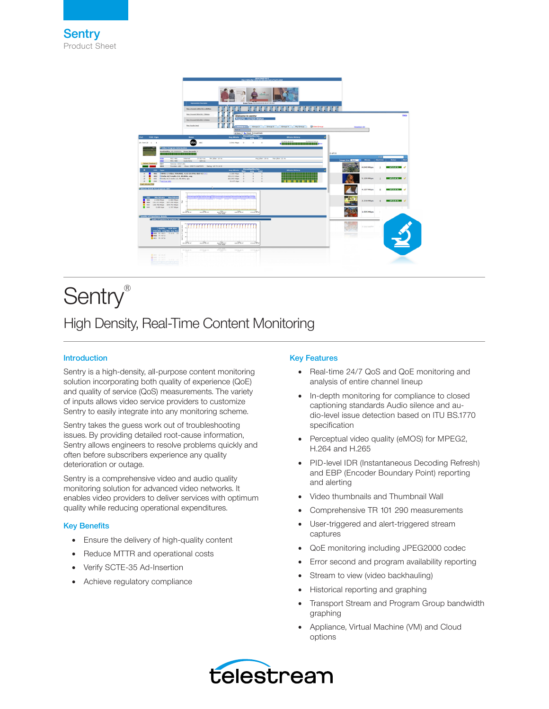

# Sentry®

# High Density, Real-Time Content Monitoring

# Introduction

Sentry is a high-density, all-purpose content monitoring solution incorporating both quality of experience (QoE) and quality of service (QoS) measurements. The variety of inputs allows video service providers to customize Sentry to easily integrate into any monitoring scheme.

Sentry takes the guess work out of troubleshooting issues. By providing detailed root-cause information, Sentry allows engineers to resolve problems quickly and often before subscribers experience any quality deterioration or outage.

Sentry is a comprehensive video and audio quality monitoring solution for advanced video networks. It enables video providers to deliver services with optimum quality while reducing operational expenditures.

### Key Benefits

- Ensure the delivery of high-quality content
- Reduce MTTR and operational costs
- Verify SCTE-35 Ad-Insertion
- Achieve regulatory compliance

## Key Features

- Real-time 24/7 QoS and QoE monitoring and analysis of entire channel lineup
- In-depth monitoring for compliance to closed captioning standards Audio silence and audio-level issue detection based on ITU BS.1770 specification
- Perceptual video quality (eMOS) for MPEG2, H.264 and H.265
- PID-level IDR (Instantaneous Decoding Refresh) and EBP (Encoder Boundary Point) reporting and alerting
- Video thumbnails and Thumbnail Wall
- Comprehensive TR 101 290 measurements
- User-triggered and alert-triggered stream captures
- QoE monitoring including JPEG2000 codec
- Error second and program availability reporting
- Stream to view (video backhauling)
- Historical reporting and graphing
- Transport Stream and Program Group bandwidth graphing
- Appliance, Virtual Machine (VM) and Cloud options